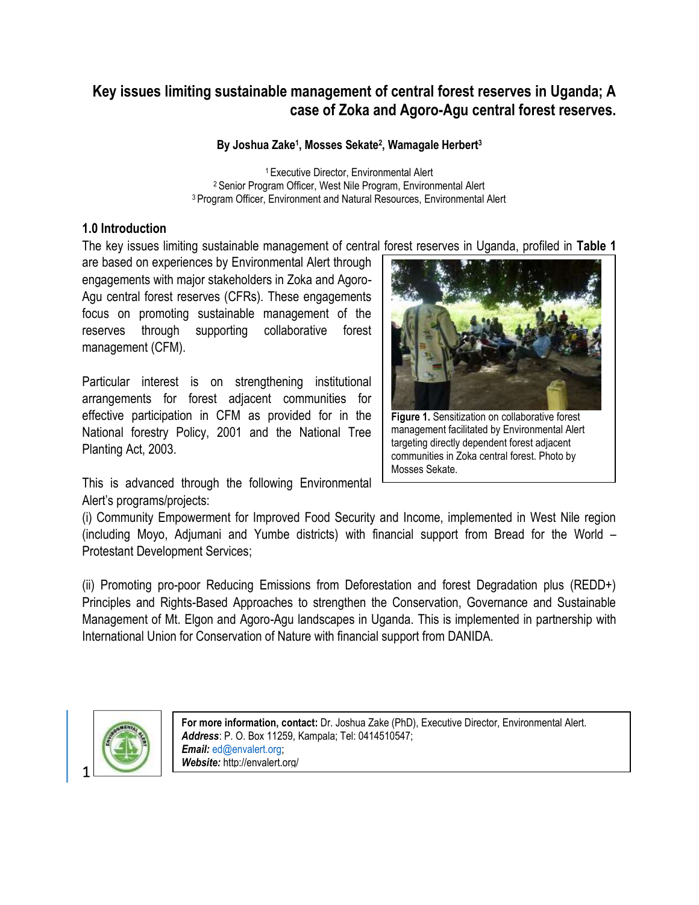# **Key issues limiting sustainable management of central forest reserves in Uganda; A case of Zoka and Agoro-Agu central forest reserves.**

## **By Joshua Zake<sup>1</sup> , Mosses Sekate<sup>2</sup> , Wamagale Herbert<sup>3</sup>**

<sup>1</sup>Executive Director, Environmental Alert <sup>2</sup> Senior Program Officer, West Nile Program, Environmental Alert <sup>3</sup>Program Officer, Environment and Natural Resources, Environmental Alert

# **1.0 Introduction**

The key issues limiting sustainable management of central forest reserves in Uganda, profiled in **Table 1**

are based on experiences by Environmental Alert through engagements with major stakeholders in Zoka and Agoro-Agu central forest reserves (CFRs). These engagements focus on promoting sustainable management of the reserves through supporting collaborative forest management (CFM).

Particular interest is on strengthening institutional arrangements for forest adjacent communities for effective participation in CFM as provided for in the National forestry Policy, 2001 and the National Tree Planting Act, 2003.

**Figure 1.** Sensitization on collaborative forest management facilitated by Environmental Alert targeting directly dependent forest adjacent communities in Zoka central forest. Photo by Mosses Sekate.

This is advanced through the following Environmental Alert's programs/projects:

(i) Community Empowerment for Improved Food Security and Income, implemented in West Nile region (including Moyo, Adjumani and Yumbe districts) with financial support from Bread for the World – Protestant Development Services;

(ii) Promoting pro-poor Reducing Emissions from Deforestation and forest Degradation plus (REDD+) Principles and Rights-Based Approaches to strengthen the Conservation, Governance and Sustainable Management of Mt. Elgon and Agoro-Agu landscapes in Uganda. This is implemented in partnership with International Union for Conservation of Nature with financial support from DANIDA.



**For more information, contact:** Dr. Joshua Zake (PhD), Executive Director, Environmental Alert. *Address*: P. O. Box 11259, Kampala; Tel: 0414510547; *Email:* [ed@envalert.org;](mailto:ed@envalert.org) *Website:* http://envalert.org/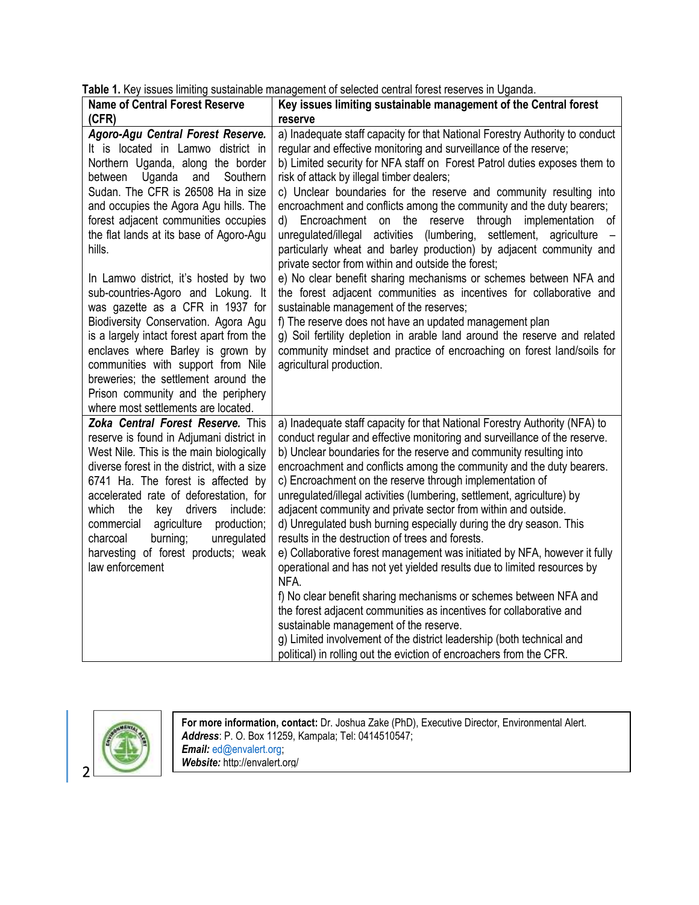| <b>Name of Central Forest Reserve</b>       | able 1. Ney issues imminity sustainable management or selected central forest reserves in Oganua. |
|---------------------------------------------|---------------------------------------------------------------------------------------------------|
| (CFR)                                       | Key issues limiting sustainable management of the Central forest                                  |
|                                             | reserve                                                                                           |
| Agoro-Agu Central Forest Reserve.           | a) Inadequate staff capacity for that National Forestry Authority to conduct                      |
| It is located in Lamwo district in          | regular and effective monitoring and surveillance of the reserve;                                 |
| Northern Uganda, along the border           | b) Limited security for NFA staff on Forest Patrol duties exposes them to                         |
| Uganda and<br>Southern<br>between           | risk of attack by illegal timber dealers;                                                         |
| Sudan. The CFR is 26508 Ha in size          | c) Unclear boundaries for the reserve and community resulting into                                |
| and occupies the Agora Agu hills. The       | encroachment and conflicts among the community and the duty bearers;                              |
| forest adjacent communities occupies        | d) Encroachment on the reserve through implementation of                                          |
| the flat lands at its base of Agoro-Agu     | unregulated/illegal activities (lumbering, settlement, agriculture                                |
| hills.                                      | particularly wheat and barley production) by adjacent community and                               |
|                                             | private sector from within and outside the forest;                                                |
| In Lamwo district, it's hosted by two       | e) No clear benefit sharing mechanisms or schemes between NFA and                                 |
| sub-countries-Agoro and Lokung. It          | the forest adjacent communities as incentives for collaborative and                               |
| was gazette as a CFR in 1937 for            | sustainable management of the reserves;                                                           |
| Biodiversity Conservation. Agora Agu        | f) The reserve does not have an updated management plan                                           |
| is a largely intact forest apart from the   | g) Soil fertility depletion in arable land around the reserve and related                         |
| enclaves where Barley is grown by           | community mindset and practice of encroaching on forest land/soils for                            |
| communities with support from Nile          | agricultural production.                                                                          |
| breweries; the settlement around the        |                                                                                                   |
| Prison community and the periphery          |                                                                                                   |
| where most settlements are located.         |                                                                                                   |
| Zoka Central Forest Reserve. This           | a) Inadequate staff capacity for that National Forestry Authority (NFA) to                        |
| reserve is found in Adjumani district in    | conduct regular and effective monitoring and surveillance of the reserve.                         |
| West Nile. This is the main biologically    | b) Unclear boundaries for the reserve and community resulting into                                |
| diverse forest in the district, with a size | encroachment and conflicts among the community and the duty bearers.                              |
| 6741 Ha. The forest is affected by          | c) Encroachment on the reserve through implementation of                                          |
| accelerated rate of deforestation, for      | unregulated/illegal activities (lumbering, settlement, agriculture) by                            |
| which the<br>key drivers<br>include:        | adjacent community and private sector from within and outside.                                    |
| agriculture<br>commercial<br>production;    | d) Unregulated bush burning especially during the dry season. This                                |
| burning;<br>unregulated<br>charcoal         | results in the destruction of trees and forests.                                                  |
| harvesting of forest products; weak         | e) Collaborative forest management was initiated by NFA, however it fully                         |
| law enforcement                             | operational and has not yet yielded results due to limited resources by                           |
|                                             | NFA.                                                                                              |
|                                             | f) No clear benefit sharing mechanisms or schemes between NFA and                                 |
|                                             | the forest adjacent communities as incentives for collaborative and                               |
|                                             | sustainable management of the reserve.                                                            |
|                                             | g) Limited involvement of the district leadership (both technical and                             |
|                                             | political) in rolling out the eviction of encroachers from the CFR.                               |

**Table 1.** Key issues limiting sustainable management of selected central forest reserves in Uganda.



**For more information, contact:** Dr. Joshua Zake (PhD), Executive Director, Environmental Alert. *Address*: P. O. Box 11259, Kampala; Tel: 0414510547; *Email:* [ed@envalert.org;](mailto:ed@envalert.org) *Website:* http://envalert.org/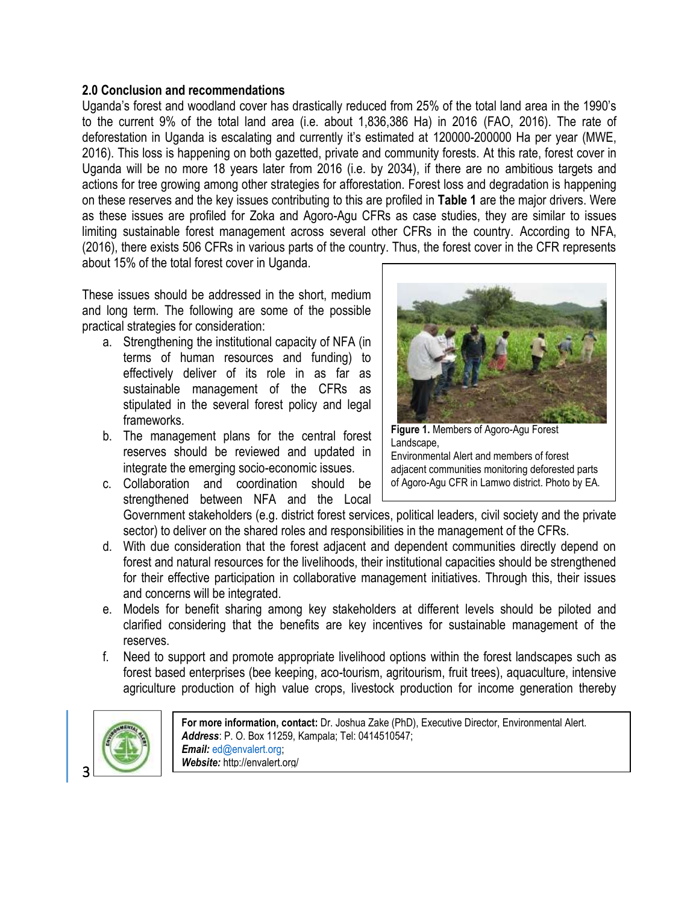### **2.0 Conclusion and recommendations**

Uganda's forest and woodland cover has drastically reduced from 25% of the total land area in the 1990's to the current 9% of the total land area (i.e. about 1,836,386 Ha) in 2016 (FAO, 2016). The rate of deforestation in Uganda is escalating and currently it's estimated at 120000-200000 Ha per year (MWE, 2016). This loss is happening on both gazetted, private and community forests. At this rate, forest cover in Uganda will be no more 18 years later from 2016 (i.e. by 2034), if there are no ambitious targets and actions for tree growing among other strategies for afforestation. Forest loss and degradation is happening on these reserves and the key issues contributing to this are profiled in **Table 1** are the major drivers. Were as these issues are profiled for Zoka and Agoro-Agu CFRs as case studies, they are similar to issues limiting sustainable forest management across several other CFRs in the country. According to NFA, (2016), there exists 506 CFRs in various parts of the country. Thus, the forest cover in the CFR represents about 15% of the total forest cover in Uganda.

These issues should be addressed in the short, medium and long term. The following are some of the possible practical strategies for consideration:

- a. Strengthening the institutional capacity of NFA (in terms of human resources and funding) to effectively deliver of its role in as far as sustainable management of the CFRs as stipulated in the several forest policy and legal frameworks.
- b. The management plans for the central forest reserves should be reviewed and updated in integrate the emerging socio-economic issues.
- c. Collaboration and coordination should be strengthened between NFA and the Local



**Figure 1.** Members of Agoro-Agu Forest Landscape, Environmental Alert and members of forest adjacent communities monitoring deforested parts

of Agoro-Agu CFR in Lamwo district. Photo by EA.

Government stakeholders (e.g. district forest services, political leaders, civil society and the private sector) to deliver on the shared roles and responsibilities in the management of the CFRs.

- d. With due consideration that the forest adjacent and dependent communities directly depend on forest and natural resources for the livelihoods, their institutional capacities should be strengthened for their effective participation in collaborative management initiatives. Through this, their issues and concerns will be integrated.
- e. Models for benefit sharing among key stakeholders at different levels should be piloted and clarified considering that the benefits are key incentives for sustainable management of the reserves.
- f. Need to support and promote appropriate livelihood options within the forest landscapes such as forest based enterprises (bee keeping, aco-tourism, agritourism, fruit trees), aquaculture, intensive agriculture production of high value crops, livestock production for income generation thereby



**For more information, contact:** Dr. Joshua Zake (PhD), Executive Director, Environmental Alert. *Address*: P. O. Box 11259, Kampala; Tel: 0414510547; *Email:* [ed@envalert.org;](mailto:ed@envalert.org) *Website:* http://envalert.org/

3